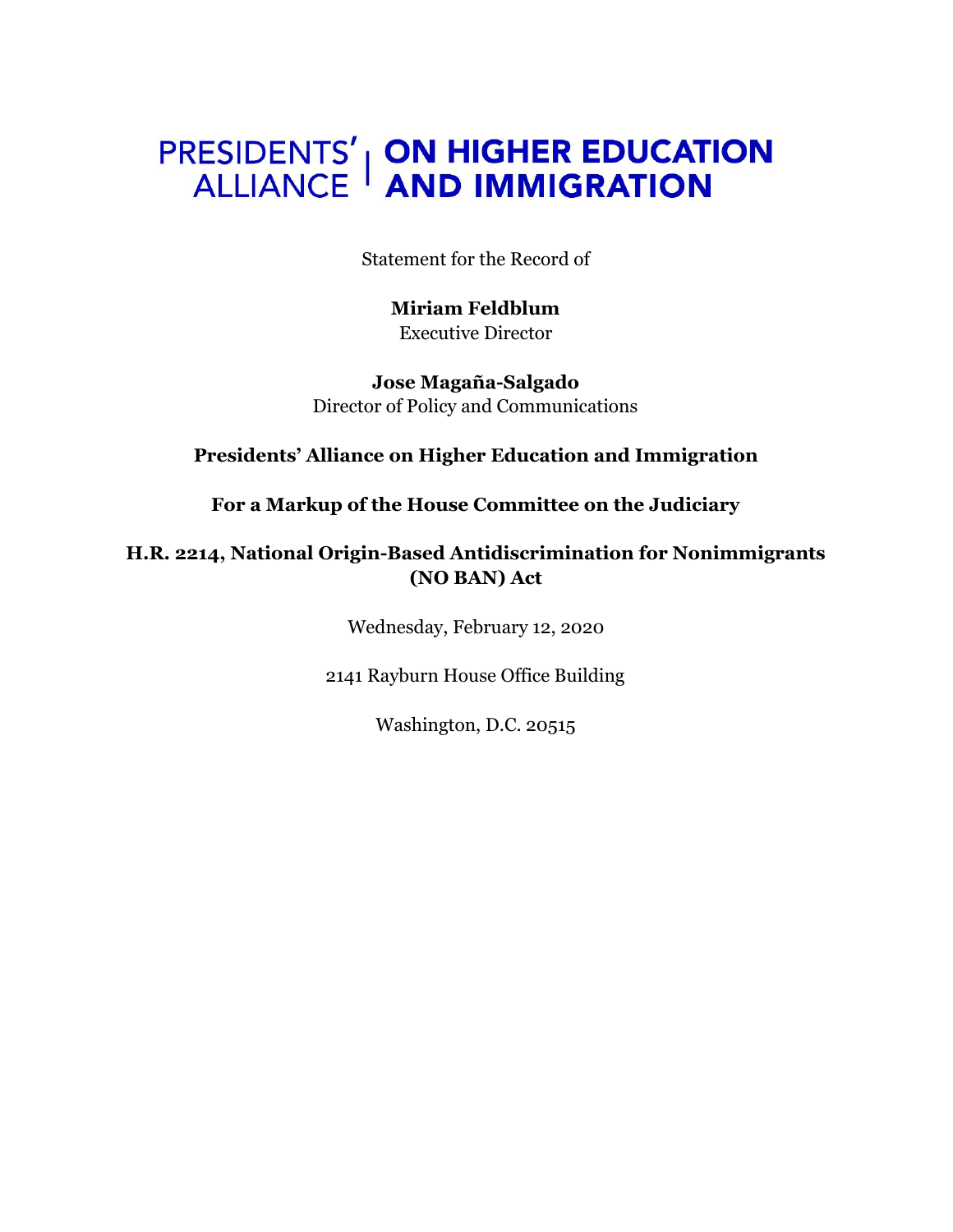## **PRESIDENTS' | ON HIGHER EDUCATION<br>ALLIANCE | AND IMMIGRATION**

Statement for the Record of

**Miriam Feldblum** Executive Director

**Jose Magaña-Salgado** Director of Policy and Communications

**Presidents' Alliance on Higher Education and Immigration**

**For a Markup of the House Committee on the Judiciary**

**H.R. 2214, National Origin-Based Antidiscrimination for Nonimmigrants (NO BAN) Act**

Wednesday, February 12, 2020

2141 Rayburn House Office Building

Washington, D.C. 20515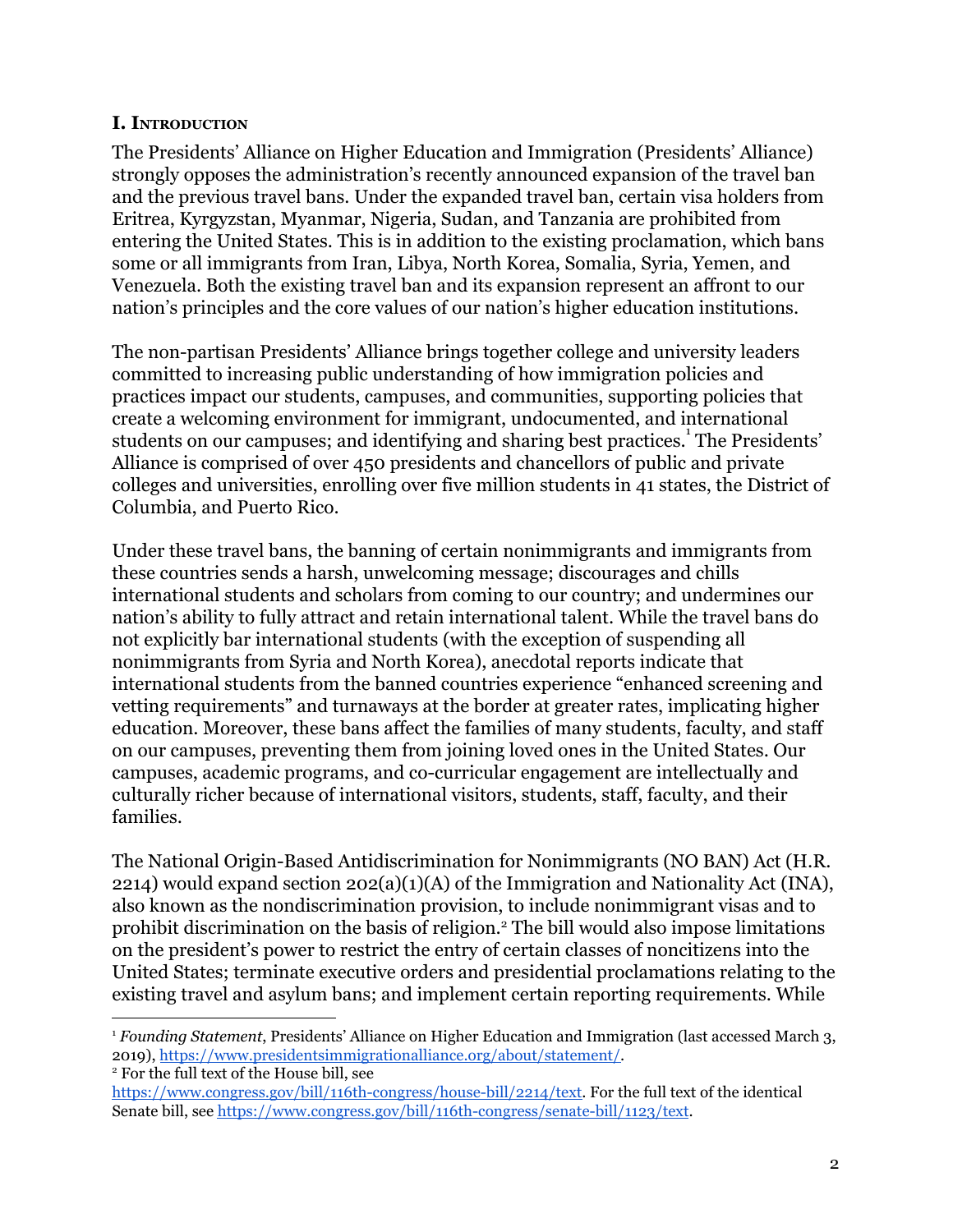## **I. INTRODUCTION**

The Presidents' Alliance on Higher Education and Immigration (Presidents' Alliance) strongly opposes the administration's recently announced expansion of the travel ban and the previous travel bans. Under the expanded travel ban, certain visa holders from Eritrea, Kyrgyzstan, Myanmar, Nigeria, Sudan, and Tanzania are prohibited from entering the United States. This is in addition to the existing proclamation, which bans some or all immigrants from Iran, Libya, North Korea, Somalia, Syria, Yemen, and Venezuela. Both the existing travel ban and its expansion represent an affront to our nation's principles and the core values of our nation's higher education institutions.

The non-partisan Presidents' Alliance brings together college and university leaders committed to increasing public understanding of how immigration policies and practices impact our students, campuses, and communities, supporting policies that create a welcoming environment for immigrant, undocumented, and international students on our campuses; and identifying and sharing best practices.<sup>1</sup> The Presidents' Alliance is comprised of over 450 presidents and chancellors of public and private colleges and universities, enrolling over five million students in 41 states, the District of Columbia, and Puerto Rico.

Under these travel bans, the banning of certain nonimmigrants and immigrants from these countries sends a harsh, unwelcoming message; discourages and chills international students and scholars from coming to our country; and undermines our nation's ability to fully attract and retain international talent. While the travel bans do not explicitly bar international students (with the exception of suspending all nonimmigrants from Syria and North Korea), anecdotal reports indicate that international students from the banned countries experience "enhanced screening and vetting requirements" and turnaways at the border at greater rates, implicating higher education. Moreover, these bans affect the families of many students, faculty, and staff on our campuses, preventing them from joining loved ones in the United States. Our campuses, academic programs, and co-curricular engagement are intellectually and culturally richer because of international visitors, students, staff, faculty, and their families.

The National Origin-Based Antidiscrimination for Nonimmigrants (NO BAN) Act (H.R. 2214) would expand section  $202(a)(1)(A)$  of the Immigration and Nationality Act (INA), also known as the nondiscrimination provision, to include nonimmigrant visas and to prohibit discrimination on the basis of religion.<sup>2</sup> The bill would also impose limitations on the president's power to restrict the entry of certain classes of noncitizens into the United States; terminate executive orders and presidential proclamations relating to the existing travel and asylum bans; and implement certain reporting requirements. While

<sup>1</sup> *Founding Statement*, Presidents' Alliance on Higher Education and Immigration (last accessed March 3, 2019), [https://www.presidentsimmigrationalliance.org/about/statement/.](https://www.presidentsimmigrationalliance.org/about/statement/) <sup>2</sup> For the full text of the House bill, see

<https://www.congress.gov/bill/116th-congress/house-bill/2214/text>. For the full text of the identical Senate bill, see <https://www.congress.gov/bill/116th-congress/senate-bill/1123/text>.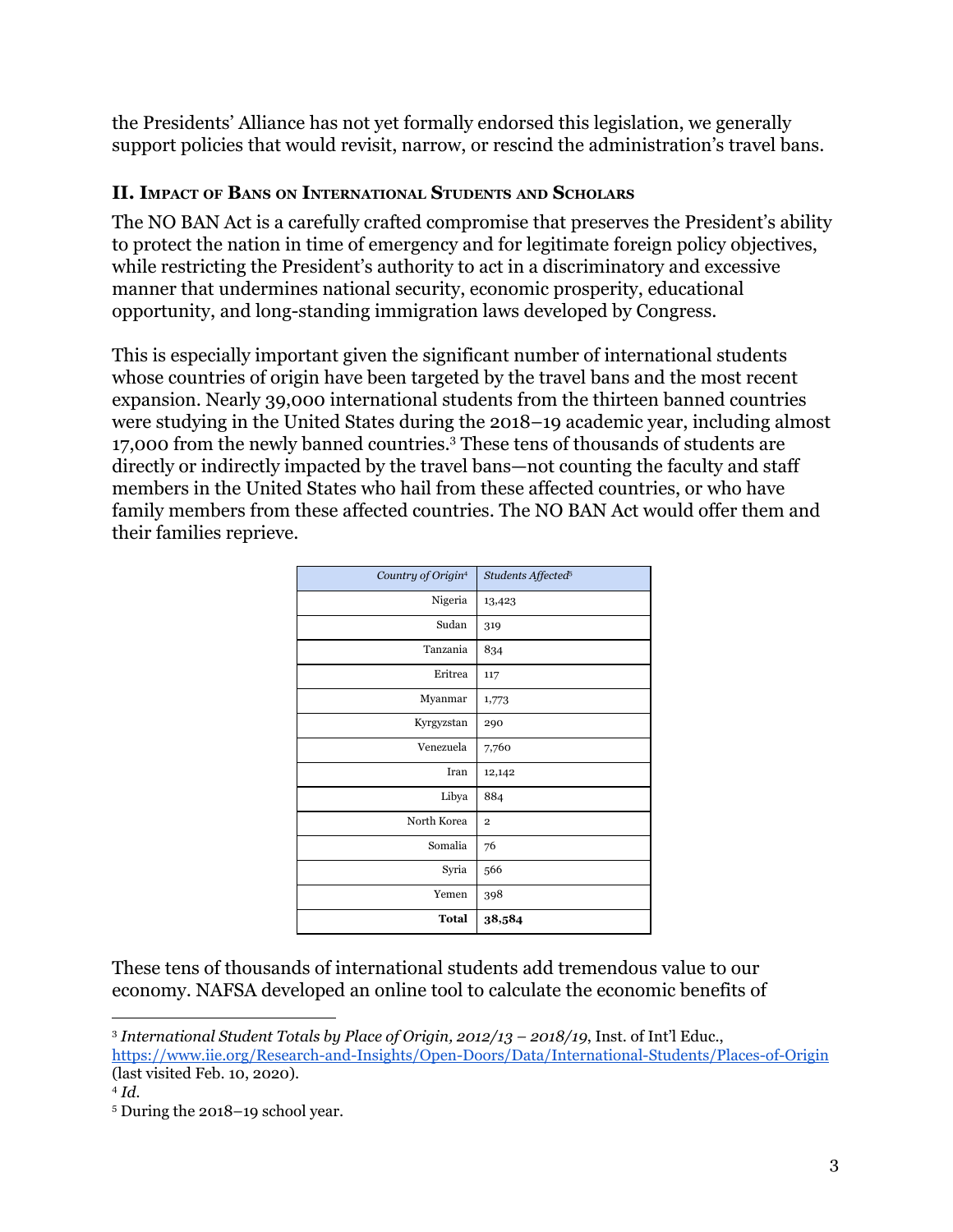the Presidents' Alliance has not yet formally endorsed this legislation, we generally support policies that would revisit, narrow, or rescind the administration's travel bans.

## **II. IMPACT OF BANS ON INTERNATIONAL STUDENTS AND SCHOLARS**

The NO BAN Act is a carefully crafted compromise that preserves the President's ability to protect the nation in time of emergency and for legitimate foreign policy objectives, while restricting the President's authority to act in a discriminatory and excessive manner that undermines national security, economic prosperity, educational opportunity, and long-standing immigration laws developed by Congress.

This is especially important given the significant number of international students whose countries of origin have been targeted by the travel bans and the most recent expansion. Nearly 39,000 international students from the thirteen banned countries were studying in the United States during the 2018–19 academic year, including almost 17,000 from the newly banned countries.<sup>3</sup> These tens of thousands of students are directly or indirectly impacted by the travel bans—not counting the faculty and staff members in the United States who hail from these affected countries, or who have family members from these affected countries. The NO BAN Act would offer them and their families reprieve.

| Country of Origin <sup>4</sup> | Students Affected <sup>5</sup> |
|--------------------------------|--------------------------------|
| Nigeria                        | 13,423                         |
| Sudan                          | 319                            |
| Tanzania                       | 834                            |
| Eritrea                        | 117                            |
| Myanmar                        | 1,773                          |
| Kyrgyzstan                     | 290                            |
| Venezuela                      | 7,760                          |
| Iran                           | 12,142                         |
| Libya                          | 884                            |
| North Korea                    | $\overline{\mathbf{2}}$        |
| Somalia                        | 76                             |
| Syria                          | 566                            |
| Yemen                          | 398                            |
| Total                          | 38,584                         |

These tens of thousands of international students add tremendous value to our economy. NAFSA developed an online tool to calculate the economic benefits of

<sup>4</sup> *Id.*

<sup>3</sup> *International Student Totals by Place of Origin, 2012/13 – 2018/19*, Inst. of Int'l Educ., <https://www.iie.org/Research-and-Insights/Open-Doors/Data/International-Students/Places-of-Origin> (last visited Feb. 10, 2020).

<sup>5</sup> During the 2018–19 school year.